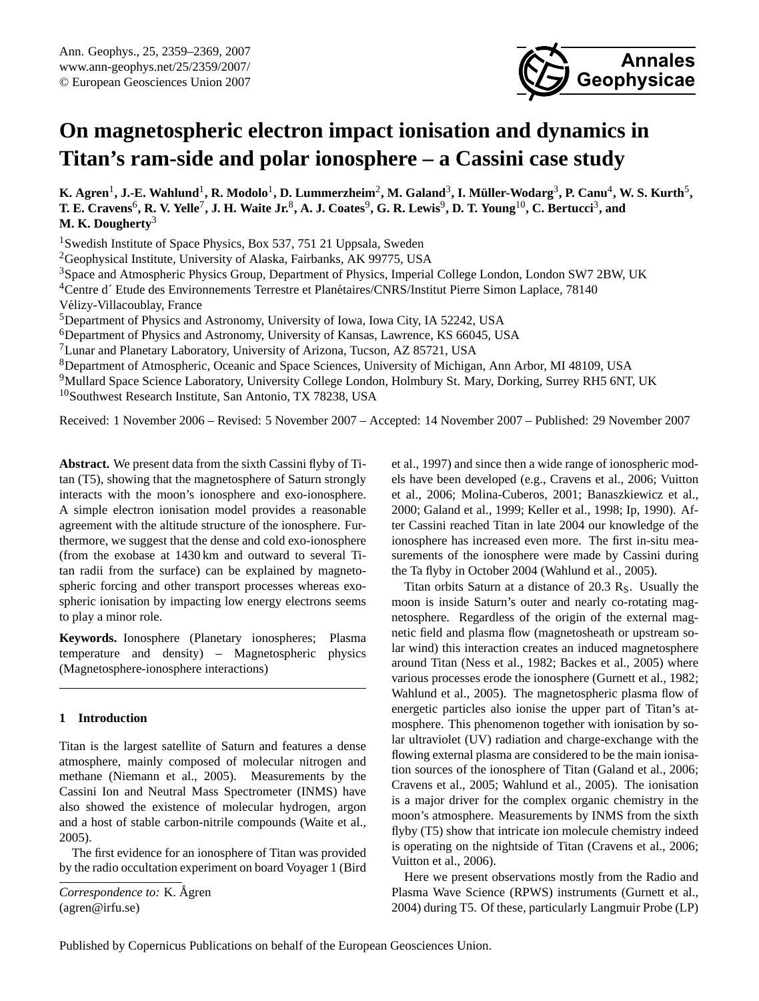

# <span id="page-0-0"></span>**On magnetospheric electron impact ionisation and dynamics in Titan's ram-side and polar ionosphere – a Cassini case study**

 $K$ . Agren<sup>1</sup>, J.-E. Wahlund<sup>1</sup>, R. Modolo<sup>1</sup>, D. Lummerzheim<sup>2</sup>, M. Galand<sup>3</sup>, I. Müller-Wodarg<sup>3</sup>, P. Canu<sup>4</sup>, W. S. Kurth<sup>5</sup>,  $T.$  **E.** Cravens<sup>6</sup>, **R.** V. Yelle<sup>7</sup>, J. H. Waite Jr.<sup>8</sup>, A. J. Coates<sup>9</sup>, G. R. Lewis<sup>9</sup>, D. T. Young<sup>10</sup>, C. Bertucci<sup>3</sup>, and **M. K. Dougherty**<sup>3</sup>

<sup>1</sup> Swedish Institute of Space Physics, Box 537, 751 21 Uppsala, Sweden

<sup>2</sup>Geophysical Institute, University of Alaska, Fairbanks, AK 99775, USA

<sup>3</sup>Space and Atmospheric Physics Group, Department of Physics, Imperial College London, London SW7 2BW, UK

<sup>4</sup>Centre d´ Etude des Environnements Terrestre et Planétaires/CNRS/Institut Pierre Simon Laplace, 78140

Velizy-Villacoublay, France ´

<sup>5</sup>Department of Physics and Astronomy, University of Iowa, Iowa City, IA 52242, USA

<sup>6</sup>Department of Physics and Astronomy, University of Kansas, Lawrence, KS 66045, USA

<sup>7</sup>Lunar and Planetary Laboratory, University of Arizona, Tucson, AZ 85721, USA

<sup>8</sup>Department of Atmospheric, Oceanic and Space Sciences, University of Michigan, Ann Arbor, MI 48109, USA

<sup>9</sup>Mullard Space Science Laboratory, University College London, Holmbury St. Mary, Dorking, Surrey RH5 6NT, UK <sup>10</sup>Southwest Research Institute, San Antonio, TX 78238, USA

Received: 1 November 2006 – Revised: 5 November 2007 – Accepted: 14 November 2007 – Published: 29 November 2007

**Abstract.** We present data from the sixth Cassini flyby of Titan (T5), showing that the magnetosphere of Saturn strongly interacts with the moon's ionosphere and exo-ionosphere. A simple electron ionisation model provides a reasonable agreement with the altitude structure of the ionosphere. Furthermore, we suggest that the dense and cold exo-ionosphere (from the exobase at 1430 km and outward to several Titan radii from the surface) can be explained by magnetospheric forcing and other transport processes whereas exospheric ionisation by impacting low energy electrons seems to play a minor role.

**Keywords.** Ionosphere (Planetary ionospheres; Plasma temperature and density) – Magnetospheric physics (Magnetosphere-ionosphere interactions)

# **1 Introduction**

Titan is the largest satellite of Saturn and features a dense atmosphere, mainly composed of molecular nitrogen and methane [\(Niemann et al.,](#page-10-0) [2005\)](#page-10-0). Measurements by the Cassini Ion and Neutral Mass Spectrometer (INMS) have also showed the existence of molecular hydrogen, argon and a host of stable carbon-nitrile compounds [\(Waite et al.,](#page-10-1) [2005\)](#page-10-1).

The first evidence for an ionosphere of Titan was provided by the radio occultation experiment on board Voyager 1 [\(Bird](#page-9-0)

*[Correspondence to:](#page-9-0)* K. Ågren [\(agren@irfu.se\)](#page-9-0)

[et al.,](#page-9-0) [1997\)](#page-9-0) and since then a wide range of ionospheric models have been developed (e.g., [Cravens et al.,](#page-9-1) [2006;](#page-9-1) [Vuitton](#page-10-2) [et al.,](#page-10-2) [2006;](#page-10-2) [Molina-Cuberos,](#page-10-3) [2001;](#page-10-3) [Banaszkiewicz et al.,](#page-9-2) [2000;](#page-9-2) [Galand et al.,](#page-10-4) [1999;](#page-10-4) [Keller et al.,](#page-10-5) [1998;](#page-10-5) [Ip,](#page-10-6) [1990\)](#page-10-6). After Cassini reached Titan in late 2004 our knowledge of the ionosphere has increased even more. The first in-situ measurements of the ionosphere were made by Cassini during the Ta flyby in October 2004 [\(Wahlund et al.,](#page-10-7) [2005\)](#page-10-7).

Titan orbits Saturn at a distance of  $20.3 \text{ R}_s$ . Usually the moon is inside Saturn's outer and nearly co-rotating magnetosphere. Regardless of the origin of the external magnetic field and plasma flow (magnetosheath or upstream solar wind) this interaction creates an induced magnetosphere around Titan [\(Ness et al.,](#page-10-8) [1982;](#page-10-8) [Backes et al.,](#page-9-3) [2005\)](#page-9-3) where various processes erode the ionosphere [\(Gurnett et al.,](#page-10-9) [1982;](#page-10-9) [Wahlund et al.,](#page-10-7) [2005\)](#page-10-7). The magnetospheric plasma flow of energetic particles also ionise the upper part of Titan's atmosphere. This phenomenon together with ionisation by solar ultraviolet (UV) radiation and charge-exchange with the flowing external plasma are considered to be the main ionisation sources of the ionosphere of Titan [\(Galand et al.,](#page-10-10) [2006;](#page-10-10) [Cravens et al.,](#page-9-4) [2005;](#page-9-4) [Wahlund et al.,](#page-10-7) [2005\)](#page-10-7). The ionisation is a major driver for the complex organic chemistry in the moon's atmosphere. Measurements by INMS from the sixth flyby (T5) show that intricate ion molecule chemistry indeed is operating on the nightside of Titan [\(Cravens et al.,](#page-9-1) [2006;](#page-9-1) [Vuitton et al.,](#page-10-2) [2006\)](#page-10-2).

Here we present observations mostly from the Radio and Plasma Wave Science (RPWS) instruments [\(Gurnett et al.,](#page-10-11) [2004\)](#page-10-11) during T5. Of these, particularly Langmuir Probe (LP)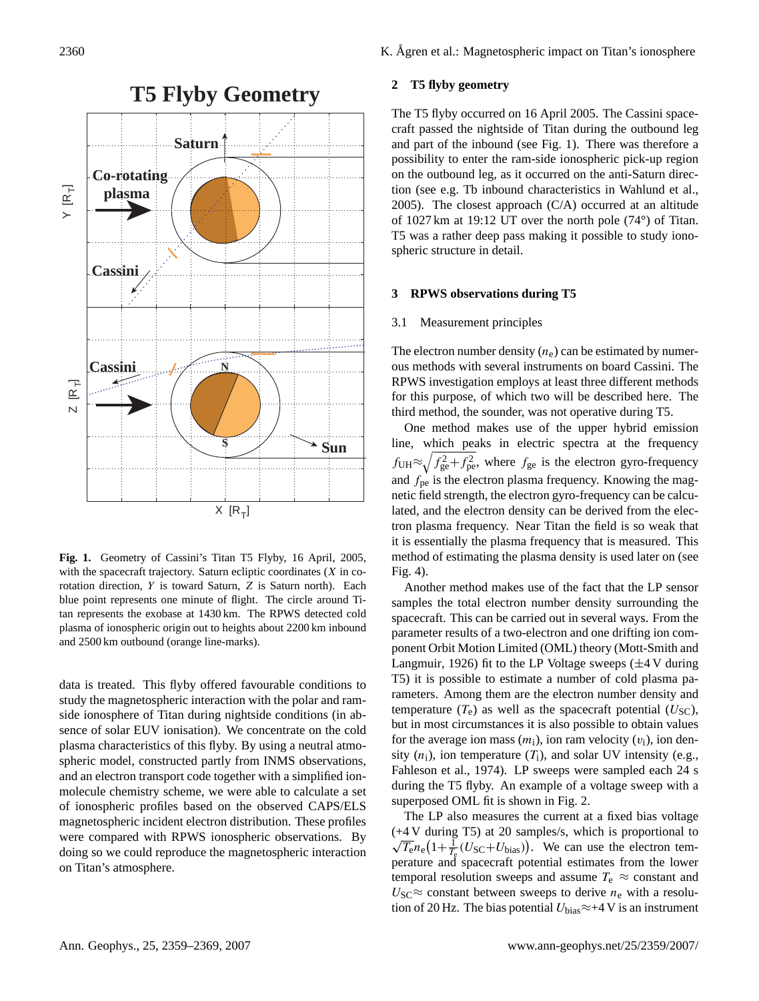

<span id="page-1-0"></span>**Fig. 1.** Geometry of Cassini's Titan T5 Flyby, 16 April, 2005, with the spacecraft trajectory. Saturn ecliptic coordinates  $(X \text{ in } \infty)$ rotation direction, Y is toward Saturn, Z is Saturn north). Each blue point represents one minute of flight. The circle around Titan represents the exobase at 1430 km. The RPWS detected cold plasma of ionospheric origin out to heights about 2200 km inbound and 2500 km outbound (orange line-marks).

data is treated. This flyby offered favourable conditions to study the magnetospheric interaction with the polar and ramside ionosphere of Titan during nightside conditions (in absence of solar EUV ionisation). We concentrate on the cold plasma characteristics of this flyby. By using a neutral atmospheric model, constructed partly from INMS observations, and an electron transport code together with a simplified ionmolecule chemistry scheme, we were able to calculate a set of ionospheric profiles based on the observed CAPS/ELS magnetospheric incident electron distribution. These profiles were compared with RPWS ionospheric observations. By doing so we could reproduce the magnetospheric interaction on Titan's atmosphere.

2360 K. Ågren et al.: Magnetospheric impact on Titan's ionosphere

## **2 T5 flyby geometry**

The T5 flyby occurred on 16 April 2005. The Cassini spacecraft passed the nightside of Titan during the outbound leg and part of the inbound (see Fig. [1\)](#page-1-0). There was therefore a possibility to enter the ram-side ionospheric pick-up region on the outbound leg, as it occurred on the anti-Saturn direction (see e.g. Tb inbound characteristics in [Wahlund et al.,](#page-10-7) [2005\)](#page-10-7). The closest approach (C/A) occurred at an altitude of 1027 km at 19:12 UT over the north pole (74°) of Titan. T5 was a rather deep pass making it possible to study ionospheric structure in detail.

#### **3 RPWS observations during T5**

#### <span id="page-1-1"></span>3.1 Measurement principles

The electron number density  $(n_e)$  can be estimated by numerous methods with several instruments on board Cassini. The RPWS investigation employs at least three different methods for this purpose, of which two will be described here. The third method, the sounder, was not operative during T5.

One method makes use of the upper hybrid emission line, which peaks in electric spectra at the frequency  $f_{\text{UH}} \approx \sqrt{f_{\text{ge}}^2 + f_{\text{pe}}^2}$ , where  $f_{\text{ge}}$  is the electron gyro-frequency and  $f_{\text{pe}}$  is the electron plasma frequency. Knowing the magnetic field strength, the electron gyro-frequency can be calculated, and the electron density can be derived from the electron plasma frequency. Near Titan the field is so weak that it is essentially the plasma frequency that is measured. This method of estimating the plasma density is used later on (see Fig. [4\)](#page-4-0).

Another method makes use of the fact that the LP sensor samples the total electron number density surrounding the spacecraft. This can be carried out in several ways. From the parameter results of a two-electron and one drifting ion component Orbit Motion Limited (OML) theory [\(Mott-Smith and](#page-10-12) [Langmuir,](#page-10-12) [1926\)](#page-10-12) fit to the LP Voltage sweeps  $(\pm 4 \text{ V}$  during T5) it is possible to estimate a number of cold plasma parameters. Among them are the electron number density and temperature  $(T_e)$  as well as the spacecraft potential  $(U<sub>SC</sub>)$ , but in most circumstances it is also possible to obtain values for the average ion mass  $(m_i)$ , ion ram velocity  $(v_i)$ , ion density  $(n_i)$ , ion temperature  $(T_i)$ , and solar UV intensity (e.g., [Fahleson et al.,](#page-9-5) [1974\)](#page-9-5). LP sweeps were sampled each 24 s during the T5 flyby. An example of a voltage sweep with a superposed OML fit is shown in Fig. [2.](#page-2-0)

The LP also measures the current at a fixed bias voltage  $(+4 \text{ V during } T5)$  at 20 samples/s, which is proportional to  $\overline{T_{e}}n_{e}(1+\frac{1}{T_{e}}(U_{SC}+U_{bias}))$ . We can use the electron temperature and spacecraft potential estimates from the lower temporal resolution sweeps and assume  $T_e \approx$  constant and  $U_{\rm SC} \approx$  constant between sweeps to derive  $n_e$  with a resolution of 20 Hz. The bias potential  $U_{bias} \approx +4$  V is an instrument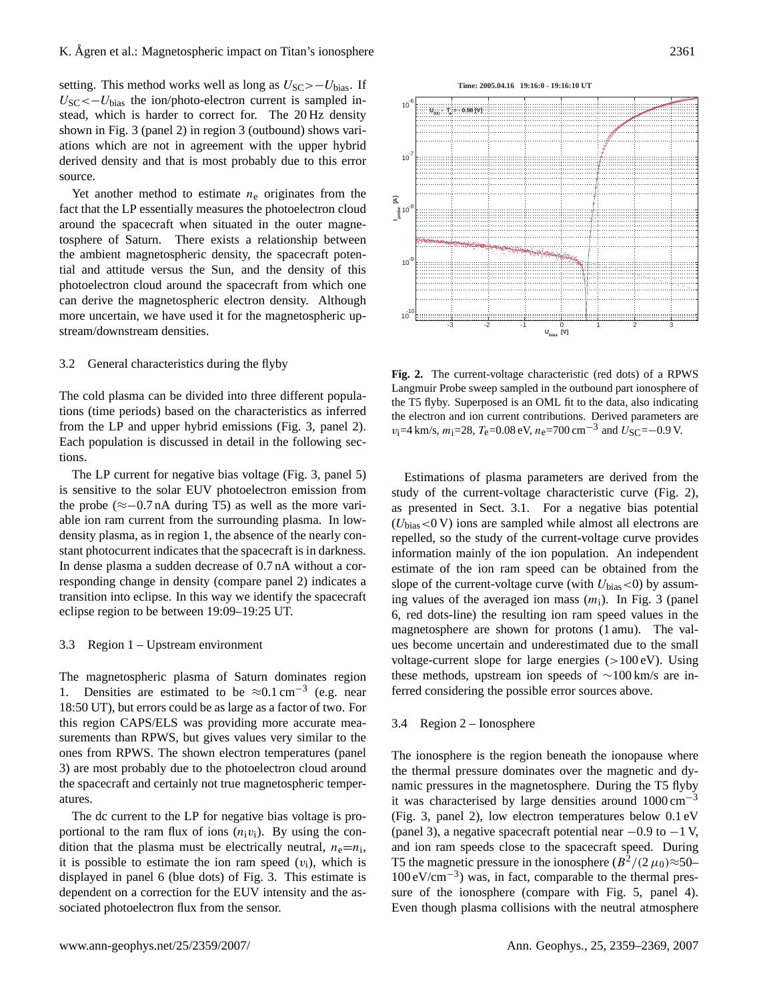setting. This method works well as long as  $U_{\rm SC} > -U_{\rm bias}$ . If  $U_{\rm SC} \leftarrow U_{\rm bias}$  the ion/photo-electron current is sampled instead, which is harder to correct for. The 20 Hz density shown in Fig. [3](#page-3-0) (panel 2) in region 3 (outbound) shows variations which are not in agreement with the upper hybrid derived density and that is most probably due to this error source.

Yet another method to estimate  $n_e$  originates from the fact that the LP essentially measures the photoelectron cloud around the spacecraft when situated in the outer magnetosphere of Saturn. There exists a relationship between the ambient magnetospheric density, the spacecraft potential and attitude versus the Sun, and the density of this photoelectron cloud around the spacecraft from which one can derive the magnetospheric electron density. Although more uncertain, we have used it for the magnetospheric upstream/downstream densities.

#### 3.2 General characteristics during the flyby

The cold plasma can be divided into three different populations (time periods) based on the characteristics as inferred from the LP and upper hybrid emissions (Fig. [3,](#page-3-0) panel 2). Each population is discussed in detail in the following sections.

The LP current for negative bias voltage (Fig. [3,](#page-3-0) panel 5) is sensitive to the solar EUV photoelectron emission from the probe (≈−0.7 nA during T5) as well as the more variable ion ram current from the surrounding plasma. In lowdensity plasma, as in region 1, the absence of the nearly constant photocurrent indicates that the spacecraft is in darkness. In dense plasma a sudden decrease of 0.7 nA without a corresponding change in density (compare panel 2) indicates a transition into eclipse. In this way we identify the spacecraft eclipse region to be between 19:09–19:25 UT.

#### 3.3 Region 1 – Upstream environment

The magnetospheric plasma of Saturn dominates region 1. Densities are estimated to be  $\approx 0.1 \text{ cm}^{-3}$  (e.g. near 18:50 UT), but errors could be as large as a factor of two. For this region CAPS/ELS was providing more accurate measurements than RPWS, but gives values very similar to the ones from RPWS. The shown electron temperatures (panel 3) are most probably due to the photoelectron cloud around the spacecraft and certainly not true magnetospheric temperatures.

The dc current to the LP for negative bias voltage is proportional to the ram flux of ions  $(n_i v_i)$ . By using the condition that the plasma must be electrically neutral,  $n_e = n_i$ , it is possible to estimate the ion ram speed  $(v_i)$ , which is displayed in panel 6 (blue dots) of Fig. [3.](#page-3-0) This estimate is dependent on a correction for the EUV intensity and the associated photoelectron flux from the sensor.

-3 -2 -1 0 1 2 3  $10^{10}$ **Ubias [V] Fig. 2.** The current-voltage characteristic (red dots) of a RPWS Langmuir Probe sweep sampled in the outbound part ionosphere of the T5 flyby. Superposed is an OML fit to the data, also indicating

<span id="page-2-0"></span>the electron and ion current contributions. Derived parameters are  $v_i$ =4 km/s,  $m_i$ =28,  $T_e$ =0.08 eV,  $n_e$ =700 cm<sup>-3</sup> and  $U_{SC}$ =-0.9 V.

Estimations of plasma parameters are derived from the study of the current-voltage characteristic curve (Fig. [2\)](#page-2-0), as presented in Sect. [3.1.](#page-1-1) For a negative bias potential  $(U<sub>bias</sub> < 0 V)$  ions are sampled while almost all electrons are repelled, so the study of the current-voltage curve provides information mainly of the ion population. An independent estimate of the ion ram speed can be obtained from the slope of the current-voltage curve (with  $U_{bias}$  < 0) by assuming values of the averaged ion mass  $(m<sub>i</sub>)$ . In Fig. [3](#page-3-0) (panel 6, red dots-line) the resulting ion ram speed values in the magnetosphere are shown for protons (1 amu). The values become uncertain and underestimated due to the small voltage-current slope for large energies  $(>100 \text{ eV})$ . Using these methods, upstream ion speeds of ∼100 km/s are inferred considering the possible error sources above.

#### <span id="page-2-1"></span>3.4 Region 2 – Ionosphere

The ionosphere is the region beneath the ionopause where the thermal pressure dominates over the magnetic and dynamic pressures in the magnetosphere. During the T5 flyby it was characterised by large densities around  $1000 \text{ cm}^{-3}$ (Fig. [3,](#page-3-0) panel 2), low electron temperatures below 0.1 eV (panel 3), a negative spacecraft potential near  $-0.9$  to  $-1$  V, and ion ram speeds close to the spacecraft speed. During T5 the magnetic pressure in the ionosphere  $(B^2/(2 \mu_0) \approx 50$ -100 eV/cm−<sup>3</sup> ) was, in fact, comparable to the thermal pres-sure of the ionosphere (compare with Fig. [5,](#page-5-0) panel 4). Even though plasma collisions with the neutral atmosphere

![](_page_2_Figure_14.jpeg)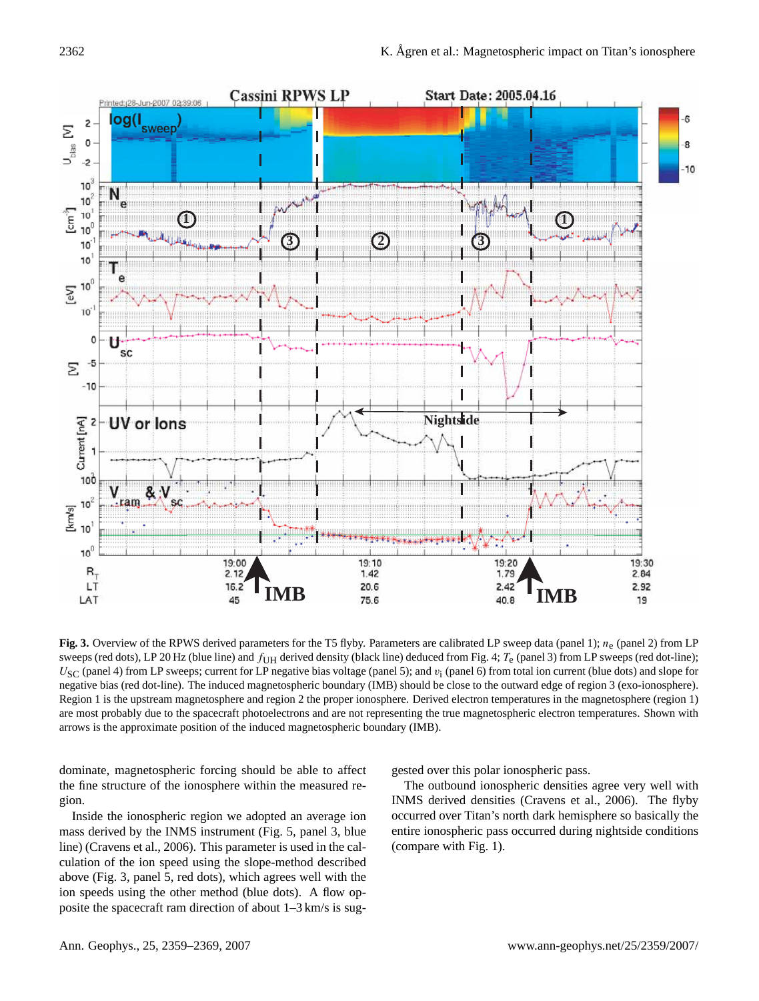![](_page_3_Figure_1.jpeg)

<span id="page-3-0"></span>**Fig. 3.** Overview of the RPWS derived parameters for the T5 flyby. Parameters are calibrated LP sweep data (panel 1);  $n_e$  (panel 2) from LP sweeps (red dots), LP 20 Hz (blue line) and  $f_{\text{I} \text{H}}$  derived density (black line) deduced from Fig. [4;](#page-4-0)  $T_e$  (panel 3) from LP sweeps (red dot-line);  $U<sub>SC</sub>$  (panel 4) from LP sweeps; current for LP negative bias voltage (panel 5); and  $v<sub>i</sub>$  (panel 6) from total ion current (blue dots) and slope for negative bias (red dot-line). The induced magnetospheric boundary (IMB) should be close to the outward edge of region 3 (exo-ionosphere). Region 1 is the upstream magnetosphere and region 2 the proper ionosphere. Derived electron temperatures in the magnetosphere (region 1) are most probably due to the spacecraft photoelectrons and are not representing the true magnetospheric electron temperatures. Shown with arrows is the approximate position of the induced magnetospheric boundary (IMB).

dominate, magnetospheric forcing should be able to affect the fine structure of the ionosphere within the measured region.

Inside the ionospheric region we adopted an average ion mass derived by the INMS instrument (Fig. [5,](#page-5-0) panel 3, blue line) [\(Cravens et al.,](#page-9-1) [2006\)](#page-9-1). This parameter is used in the calculation of the ion speed using the slope-method described above (Fig. [3,](#page-3-0) panel 5, red dots), which agrees well with the ion speeds using the other method (blue dots). A flow opposite the spacecraft ram direction of about 1–3 km/s is suggested over this polar ionospheric pass.

The outbound ionospheric densities agree very well with INMS derived densities [\(Cravens et al.,](#page-9-1) [2006\)](#page-9-1). The flyby occurred over Titan's north dark hemisphere so basically the entire ionospheric pass occurred during nightside conditions (compare with Fig. [1\)](#page-1-0).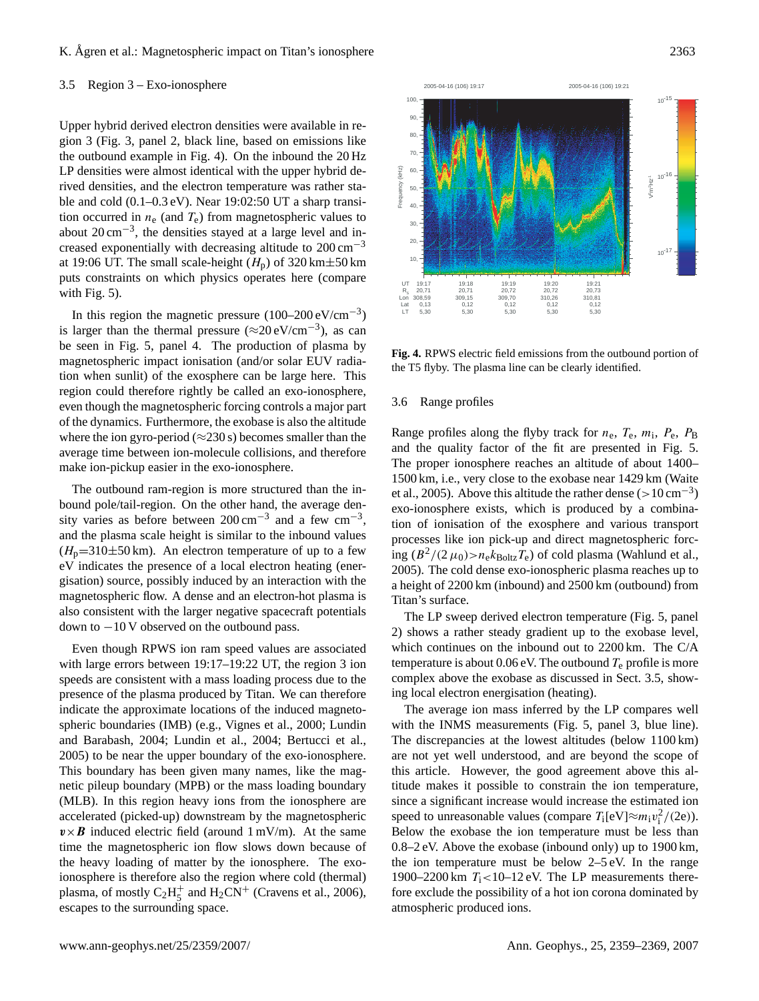## K. Ågren et al.: Magnetospheric impact on Titan's ionosphere 2363

#### <span id="page-4-1"></span>3.5 Region 3 – Exo-ionosphere

Upper hybrid derived electron densities were available in region 3 (Fig. [3,](#page-3-0) panel 2, black line, based on emissions like the outbound example in Fig. [4\)](#page-4-0). On the inbound the 20 Hz LP densities were almost identical with the upper hybrid derived densities, and the electron temperature was rather stable and cold (0.1–0.3 eV). Near 19:02:50 UT a sharp transition occurred in  $n_e$  (and  $T_e$ ) from magnetospheric values to about  $20 \text{ cm}^{-3}$ , the densities stayed at a large level and increased exponentially with decreasing altitude to  $200 \text{ cm}^{-3}$ at 19:06 UT. The small scale-height  $(H_n)$  of 320 km $\pm$ 50 km puts constraints on which physics operates here (compare with Fig. [5\)](#page-5-0).

In this region the magnetic pressure  $(100-200 \text{ eV/cm}^{-3})$ is larger than the thermal pressure  $(\approx 20 \text{ eV/cm}^{-3})$ , as can be seen in Fig. [5,](#page-5-0) panel 4. The production of plasma by magnetospheric impact ionisation (and/or solar EUV radiation when sunlit) of the exosphere can be large here. This region could therefore rightly be called an exo-ionosphere, even though the magnetospheric forcing controls a major part of the dynamics. Furthermore, the exobase is also the altitude where the ion gyro-period ( $\approx$ 230 s) becomes smaller than the average time between ion-molecule collisions, and therefore make ion-pickup easier in the exo-ionosphere.

The outbound ram-region is more structured than the inbound pole/tail-region. On the other hand, the average density varies as before between  $200 \text{ cm}^{-3}$  and a few  $\text{cm}^{-3}$ , and the plasma scale height is similar to the inbound values  $(H_p=310\pm50 \text{ km})$ . An electron temperature of up to a few eV indicates the presence of a local electron heating (energisation) source, possibly induced by an interaction with the magnetospheric flow. A dense and an electron-hot plasma is also consistent with the larger negative spacecraft potentials down to −10 V observed on the outbound pass.

Even though RPWS ion ram speed values are associated with large errors between 19:17–19:22 UT, the region 3 ion speeds are consistent with a mass loading process due to the presence of the plasma produced by Titan. We can therefore indicate the approximate locations of the induced magnetospheric boundaries (IMB) (e.g., [Vignes et al.,](#page-10-13) [2000;](#page-10-13) [Lundin](#page-10-14) [and Barabash,](#page-10-14) [2004;](#page-10-14) [Lundin et al.,](#page-10-15) [2004;](#page-10-15) [Bertucci et al.,](#page-9-6) [2005\)](#page-9-6) to be near the upper boundary of the exo-ionosphere. This boundary has been given many names, like the magnetic pileup boundary (MPB) or the mass loading boundary (MLB). In this region heavy ions from the ionosphere are accelerated (picked-up) downstream by the magnetospheric  $v \times B$  induced electric field (around 1 mV/m). At the same time the magnetospheric ion flow slows down because of the heavy loading of matter by the ionosphere. The exoionosphere is therefore also the region where cold (thermal) plasma, of mostly  $C_2H_5^+$  $_5^+$  and H<sub>2</sub>CN<sup>+</sup> [\(Cravens et al.,](#page-9-1) [2006\)](#page-9-1), escapes to the surrounding space.

![](_page_4_Figure_6.jpeg)

<span id="page-4-0"></span>**Fig. 4.** RPWS electric field emissions from the outbound portion of the T5 flyby. The plasma line can be clearly identified.

#### 3.6 Range profiles

Range profiles along the flyby track for  $n_e$ ,  $T_e$ ,  $m_i$ ,  $P_e$ ,  $P_B$ and the quality factor of the fit are presented in Fig. [5.](#page-5-0) The proper ionosphere reaches an altitude of about 1400– 1500 km, i.e., very close to the exobase near 1429 km [\(Waite](#page-10-1) [et al.,](#page-10-1) [2005\)](#page-10-1). Above this altitude the rather dense  $(>10 \text{ cm}^{-3})$ exo-ionosphere exists, which is produced by a combination of ionisation of the exosphere and various transport processes like ion pick-up and direct magnetospheric forcing  $(B^2/(2 \mu_0) > n_e k_{\text{Boltz}} T_e)$  of cold plasma [\(Wahlund et al.,](#page-10-7) [2005\)](#page-10-7). The cold dense exo-ionospheric plasma reaches up to a height of 2200 km (inbound) and 2500 km (outbound) from Titan's surface.

The LP sweep derived electron temperature (Fig. [5,](#page-5-0) panel 2) shows a rather steady gradient up to the exobase level, which continues on the inbound out to 2200 km. The C/A temperature is about 0.06 eV. The outbound  $T_e$  profile is more complex above the exobase as discussed in Sect. [3.5,](#page-4-1) showing local electron energisation (heating).

The average ion mass inferred by the LP compares well with the INMS measurements (Fig. [5,](#page-5-0) panel 3, blue line). The discrepancies at the lowest altitudes (below 1100 km) are not yet well understood, and are beyond the scope of this article. However, the good agreement above this altitude makes it possible to constrain the ion temperature, since a significant increase would increase the estimated ion speed to unreasonable values (compare  $T_i[eV] \approx m_i v_i^2/(2e)$ ). Below the exobase the ion temperature must be less than 0.8–2 eV. Above the exobase (inbound only) up to 1900 km, the ion temperature must be below  $2-5$  eV. In the range 1900–2200 km  $T_i$ <10–12 eV. The LP measurements therefore exclude the possibility of a hot ion corona dominated by atmospheric produced ions.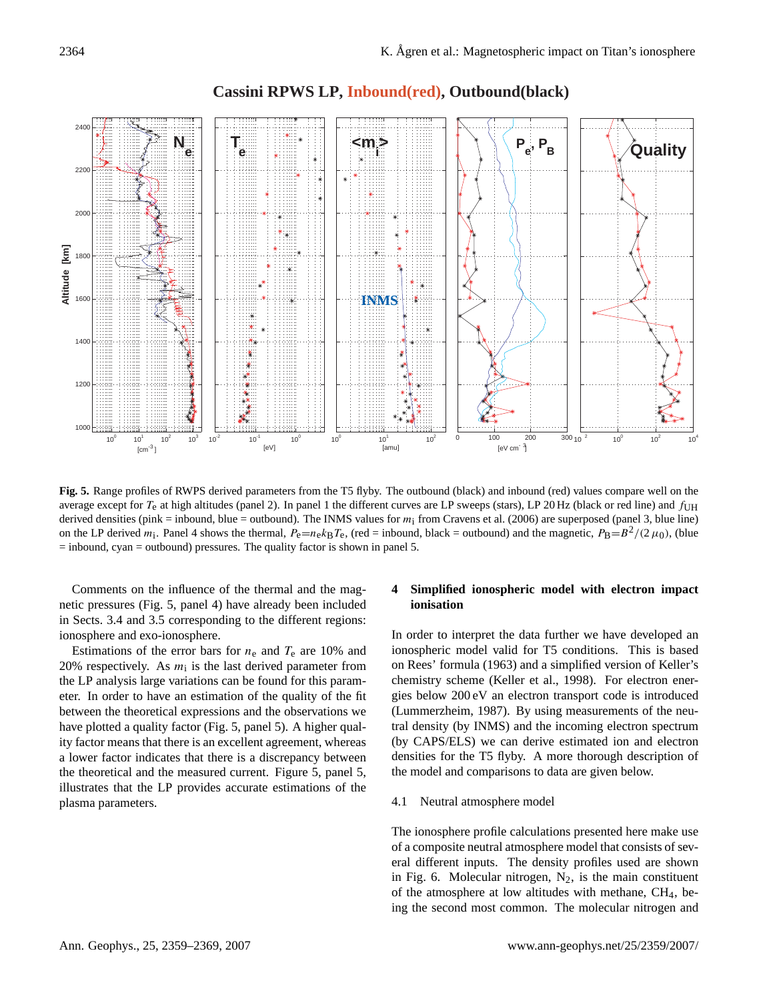![](_page_5_Figure_1.jpeg)

# **Cassini RPWS LP, Inbound(red), Outbound(black)**

<span id="page-5-0"></span>**Fig. 5.** Range profiles of RWPS derived parameters from the T5 flyby. The outbound (black) and inbound (red) values compare well on the average except for  $T_e$  at high altitudes (panel 2). In panel 1 the different curves are LP sweeps (stars), LP 20 Hz (black or red line) and  $f_{\text{UH}}$ derived densities (pink = inbound, blue = outbound). The INMS values for  $m_i$  from [Cravens et al.](#page-9-1) [\(2006\)](#page-9-1) are superposed (panel 3, blue line) on the LP derived  $m_i$ . Panel 4 shows the thermal,  $P_e=n_e k_B T_e$ , (red = inbound, black = outbound) and the magnetic,  $P_B=B^2/(2\mu_0)$ , (blue  $=$  inbound, cyan  $=$  outbound) pressures. The quality factor is shown in panel 5.

Comments on the influence of the thermal and the magnetic pressures (Fig. [5,](#page-5-0) panel 4) have already been included in Sects. [3.4](#page-2-1) and [3.5](#page-4-1) corresponding to the different regions: ionosphere and exo-ionosphere.

Estimations of the error bars for  $n_e$  and  $T_e$  are 10% and 20% respectively. As  $m_i$  is the last derived parameter from the LP analysis large variations can be found for this parameter. In order to have an estimation of the quality of the fit between the theoretical expressions and the observations we have plotted a quality factor (Fig. [5,](#page-5-0) panel 5). A higher quality factor means that there is an excellent agreement, whereas a lower factor indicates that there is a discrepancy between the theoretical and the measured current. Figure [5,](#page-5-0) panel 5, illustrates that the LP provides accurate estimations of the plasma parameters.

# **4 Simplified ionospheric model with electron impact ionisation**

In order to interpret the data further we have developed an ionospheric model valid for T5 conditions. This is based on Rees' formula (1963) and a simplified version of Keller's chemistry scheme [\(Keller et al.,](#page-10-5) [1998\)](#page-10-5). For electron energies below 200 eV an electron transport code is introduced [\(Lummerzheim,](#page-10-16) [1987\)](#page-10-16). By using measurements of the neutral density (by INMS) and the incoming electron spectrum (by CAPS/ELS) we can derive estimated ion and electron densities for the T5 flyby. A more thorough description of the model and comparisons to data are given below.

#### 4.1 Neutral atmosphere model

The ionosphere profile calculations presented here make use of a composite neutral atmosphere model that consists of several different inputs. The density profiles used are shown in Fig. [6.](#page-6-0) Molecular nitrogen,  $N_2$ , is the main constituent of the atmosphere at low altitudes with methane,  $CH<sub>4</sub>$ , being the second most common. The molecular nitrogen and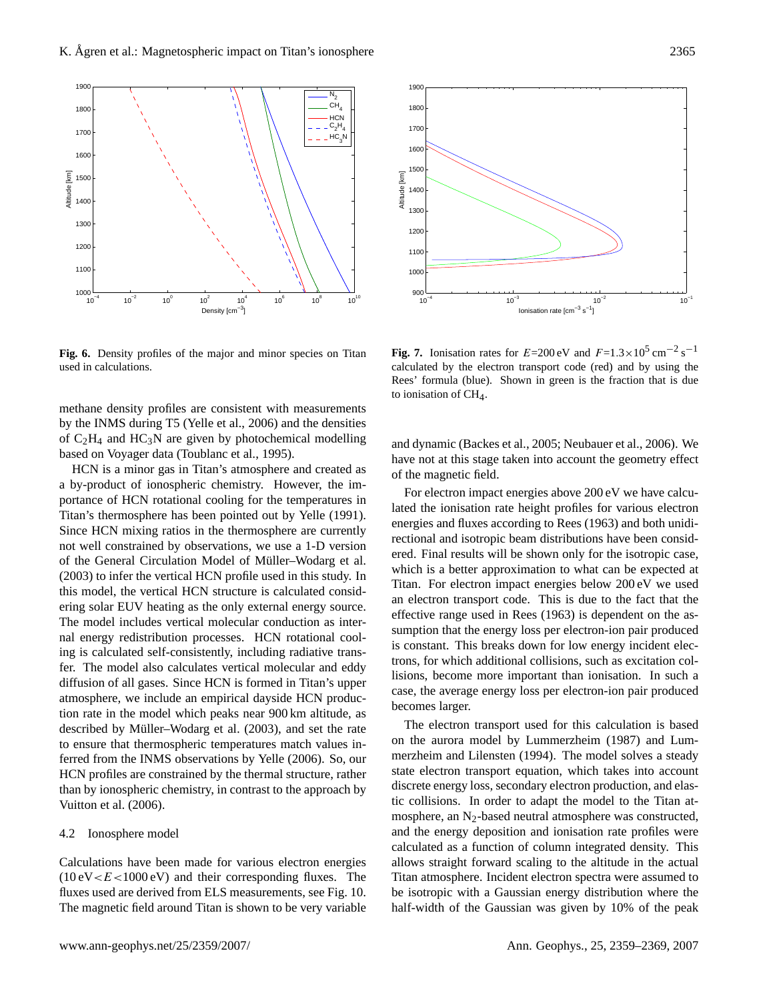![](_page_6_Figure_1.jpeg)

<span id="page-6-0"></span>Fig. 6. Density profiles of the major and minor species on Titan used in calculations.

methane density profiles are consistent with measurements by the INMS during T5 (Yelle et al., 2006) and the densities of  $C_2H_4$  and  $HC_3N$  are given by photochemical modelling based on Voyager data [\(Toublanc et al.,](#page-10-17) [1995\)](#page-10-17).

ering solar EUV heating as the only external energy source. HCN is a minor gas in Titan's atmosphere and created as a by-product of ionospheric chemistry. However, the importance of HCN rotational cooling for the temperatures in Titan's thermosphere has been pointed out by [Yelle](#page-10-18) [\(1991\)](#page-10-18). Since HCN mixing ratios in the thermosphere are currently not well constrained by observations, we use a 1-D version of the General Circulation Model of Müller-Wodarg et al. [\(2003\)](#page-10-19) to infer the vertical HCN profile used in this study. In this model, the vertical HCN structure is calculated consid-The model includes vertical molecular conduction as internal energy redistribution processes. HCN rotational cooling is calculated self-consistently, including radiative transfer. The model also calculates vertical molecular and eddy diffusion of all gases. Since HCN is formed in Titan's upper atmosphere, we include an empirical dayside HCN production rate in the model which peaks near 900 km altitude, as described by Müller–Wodarg et al. [\(2003\)](#page-10-19), and set the rate to ensure that thermospheric temperatures match values inferred from the INMS observations by [Yelle](#page-10-20) [\(2006\)](#page-10-20). So, our HCN profiles are constrained by the thermal structure, rather than by ionospheric chemistry, in contrast to the approach by [Vuitton et al.](#page-10-2) [\(2006\)](#page-10-2).

#### 4.2 Ionosphere model

Calculations have been made for various electron energies  $(10 \text{ eV} < E < 1000 \text{ eV})$  and their corresponding fluxes. The fluxes used are derived from ELS measurements, see Fig. [10.](#page-7-0) The magnetic field around Titan is shown to be very variable

![](_page_6_Figure_7.jpeg)

<span id="page-6-1"></span>**Fig. 7.** Ionisation rates for  $E=200 \text{ eV}$  and  $F=1.3\times10^5 \text{ cm}^{-2} \text{ s}^{-1}$ calculated by the electron transport code (red) and by using the Rees' formula (blue). Shown in green is the fraction that is due to ionisation of  $CH<sub>4</sub>$ .

and dynamic [\(Backes et al.,](#page-9-3) [2005;](#page-9-3) [Neubauer et al.,](#page-10-21) [2006\)](#page-10-21). We have not at this stage taken into account the geometry effect of the magnetic field.

an electron transport code. This is due to the fact that the For electron impact energies above 200 eV we have calculated the ionisation rate height profiles for various electron energies and fluxes according to [Rees](#page-10-22) [\(1963\)](#page-10-22) and both unidirectional and isotropic beam distributions have been considered. Final results will be shown only for the isotropic case, which is a better approximation to what can be expected at Titan. For electron impact energies below 200 eV we used effective range used in [Rees](#page-10-22) [\(1963\)](#page-10-22) is dependent on the assumption that the energy loss per electron-ion pair produced is constant. This breaks down for low energy incident electrons, for which additional collisions, such as excitation collisions, become more important than ionisation. In such a case, the average energy loss per electron-ion pair produced becomes larger.

The electron transport used for this calculation is based on the aurora model by [Lummerzheim](#page-10-16) [\(1987\)](#page-10-16) and [Lum](#page-10-23)[merzheim and Lilensten](#page-10-23) [\(1994\)](#page-10-23). The model solves a steady state electron transport equation, which takes into account discrete energy loss, secondary electron production, and elastic collisions. In order to adapt the model to the Titan atmosphere, an  $N_2$ -based neutral atmosphere was constructed, and the energy deposition and ionisation rate profiles were calculated as a function of column integrated density. This allows straight forward scaling to the altitude in the actual Titan atmosphere. Incident electron spectra were assumed to be isotropic with a Gaussian energy distribution where the half-width of the Gaussian was given by 10% of the peak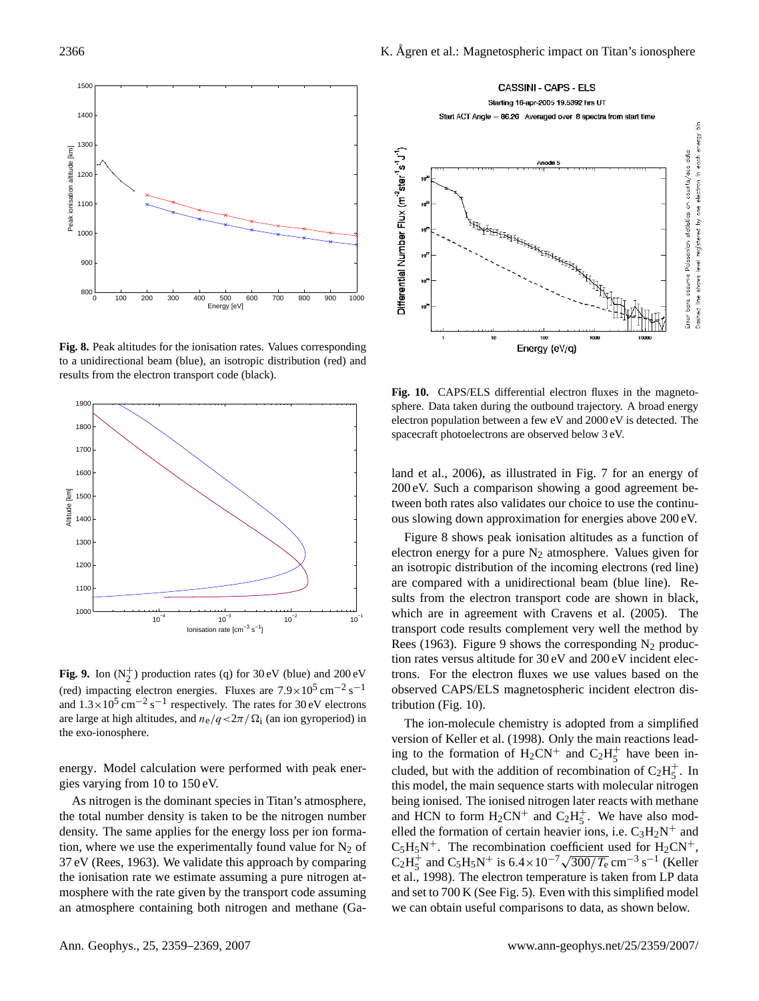![](_page_7_Figure_1.jpeg)

<span id="page-7-1"></span>**Fig. 8.** Peak altitudes for the ionisation rates. Values corresponding to a unidirectional beam (blue), an isotropic distribution (red) and results from the electron transport code (black).

![](_page_7_Figure_3.jpeg)

<span id="page-7-2"></span> $\mathbf{F}_{\mathbf{r}}^{\mathbf{t}}$  **0.** I<sub>n</sub>  $(\mathbf{N}^{\mathbf{t}})$  and decision rates (x) for 30 eV (blue) and 300 eV **Fig. 9.** Ion  $(N_2^+)$  production rates (q) for 30 eV (blue) and 200 eV  $\frac{1}{2}$  respectively. The rates for  $\frac{1}{2}$ (red) impacting electron energies. Fluxes are  $7.9 \times 10^5$  cm<sup>-2</sup> s<sup>-1</sup> and  $1.3 \times 10^5$  cm<sup>-2</sup> s<sup>-1</sup> respectively. The rates for 30 eV electrons are large at high altitudes, and  $n_e/q < 2\pi/\Omega_i$  (an ion gyroperiod) in the exo-ionosphere.

energy. Model calculation were performed with peak energies varying from 10 to 150 eV.

As nitrogen is the dominant species in Titan's atmosphere, the total number density is taken to be the nitrogen number density. The same applies for the energy loss per ion formation, where we use the experimentally found value for  $N_2$  of 37 eV [\(Rees,](#page-10-22) [1963\)](#page-10-22). We validate this approach by comparing the ionisation rate we estimate assuming a pure nitrogen atmosphere with the rate given by the transport code assuming an atmosphere containing both nitrogen and methane [\(Ga-](#page-10-10)

![](_page_7_Figure_7.jpeg)

<span id="page-7-0"></span>Fig. 10. CAPS/ELS differential electron fluxes in the magnetosphere. Data taken during the outbound trajectory. A broad energy electron population between a few eV and 2000 eV is detected. The spacecraft photoelectrons are observed below 3 eV.

[land et al.,](#page-10-10) [2006\)](#page-10-10), as illustrated in Fig. [7](#page-6-1) for an energy of 200 eV. Such a comparison showing a good agreement between both rates also validates our choice to use the continuous slowing down approximation for energies above 200 eV.

are compared with a unidirectional beam (blue line). Re-Figure [8](#page-7-1) shows peak ionisation altitudes as a function of electron energy for a pure  $N_2$  atmosphere. Values given for an isotropic distribution of the incoming electrons (red line) sults from the electron transport code are shown in black, which are in agreement with [Cravens et al.](#page-9-4) [\(2005\)](#page-9-4). The transport code results complement very well the method by [Rees](#page-10-22) [\(1963\)](#page-10-22). Figure [9](#page-7-2) shows the corresponding  $N_2$  production rates versus altitude for 30 eV and 200 eV incident electrons. For the electron fluxes we use values based on the observed CAPS/ELS magnetospheric incident electron distribution (Fig. [10\)](#page-7-0).

The ion-molecule chemistry is adopted from a simplified version of [Keller et al.](#page-10-5) [\(1998\)](#page-10-5). Only the main reactions leading to the formation of  $H_2CN^+$  and  $C_2H_5^+$  $\frac{+}{5}$  have been included, but with the addition of recombination of  $C_2H_5^+$  $\frac{+}{5}$ . In this model, the main sequence starts with molecular nitrogen being ionised. The ionised nitrogen later reacts with methane and HCN to form  $H_2CN^+$  and  $C_2H_5^+$  $+$ <sub>5</sub>. We have also modelled the formation of certain heavier ions, i.e.  $C_3H_2N^+$  and  $C_5H_5N^+$ . The recombination coefficient used for  $H_2CN^+$ ,  $C_2H_5^+$  $5^{18}$ . The recombination coefficient used for H<sub>2</sub>CN<sup>+</sup>,<br>  $5^{+}$  and C<sub>5</sub>H<sub>5</sub>N<sup>+</sup> is 6.4×10<sup>-7</sup> $\sqrt{300/T_e}$  cm<sup>-3</sup> s<sup>-1</sup> [\(Keller](#page-10-5) [et al.,](#page-10-5) [1998\)](#page-10-5). The electron temperature is taken from LP data and set to 700 K (See Fig. [5\)](#page-5-0). Even with this simplified model we can obtain useful comparisons to data, as shown below.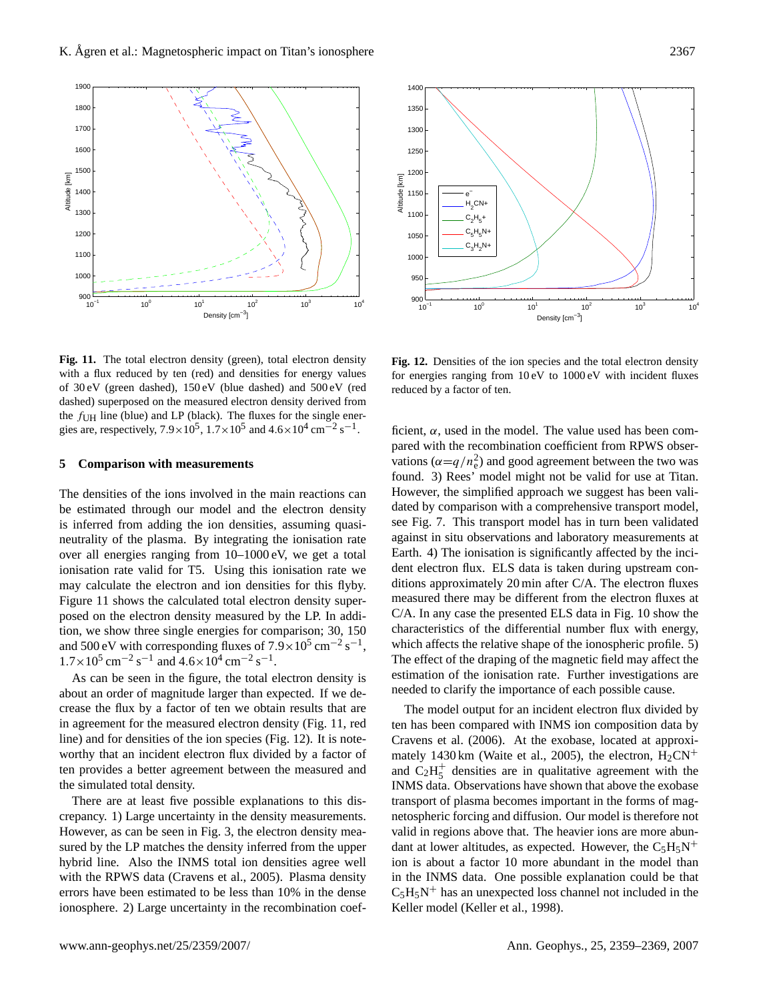![](_page_8_Figure_1.jpeg)

![](_page_8_Figure_2.jpeg)

<span id="page-8-0"></span>Fig. 11. The total electron density (green), total electron density with a flux reduced by ten (red) and densities for energy values measured electron density derived from the function of the single energy. The fluxes for the single energies for the single energies for the single energies for the single energies for the single energies of the single ene of  $30 \text{ eV}$  (green dashed),  $150 \text{ eV}$  (blue dashed) and  $500 \text{ eV}$  (red dashed) superposed on the measured electron density derived from the  $f_{\text{UH}}$  line (blue) and LP (black). The fluxes for the single energies are, respectively,  $7.9 \times 10^5$ ,  $1.7 \times 10^5$  and  $4.6 \times 10^4$  cm<sup>-2</sup> s<sup>-1</sup>.

#### **5 Comparison with measurements**

posed on the electron density measured by the LP. In addi-The densities of the ions involved in the main reactions can be estimated through our model and the electron density is inferred from adding the ion densities, assuming quasineutrality of the plasma. By integrating the ionisation rate over all energies ranging from 10–1000 eV, we get a total ionisation rate valid for T5. Using this ionisation rate we may calculate the electron and ion densities for this flyby. Figure [11](#page-8-0) shows the calculated total electron density supertion, we show three single energies for comparison; 30, 150 and 500 eV with corresponding fluxes of  $7.9 \times 10^5$  cm<sup>-2</sup> s<sup>-1</sup>,  $1.7 \times 10^5$  cm<sup>-2</sup> s<sup>-1</sup> and  $4.6 \times 10^4$  cm<sup>-2</sup> s<sup>-1</sup>.

As can be seen in the figure, the total electron density is about an order of magnitude larger than expected. If we decrease the flux by a factor of ten we obtain results that are in agreement for the measured electron density (Fig. [11,](#page-8-0) red line) and for densities of the ion species (Fig. [12\)](#page-8-1). It is noteworthy that an incident electron flux divided by a factor of ten provides a better agreement between the measured and the simulated total density.

There are at least five possible explanations to this discrepancy. 1) Large uncertainty in the density measurements. However, as can be seen in Fig. [3,](#page-3-0) the electron density measured by the LP matches the density inferred from the upper hybrid line. Also the INMS total ion densities agree well with the RPWS data [\(Cravens et al.,](#page-9-4) [2005\)](#page-9-4). Plasma density errors have been estimated to be less than 10% in the dense ionosphere. 2) Large uncertainty in the recombination coef-

<span id="page-8-1"></span>Fig. 12. Densities of the ion species and the total electron density for energies ranging from  $10\text{ eV}$  to  $1000\text{ eV}$  with incident fluxes reduced by a factor of ten.

characteristics of the differential number flux with energy, ficient,  $\alpha$ , used in the model. The value used has been compared with the recombination coefficient from RPWS observations  $(\alpha = q/n_e^2)$  and good agreement between the two was found. 3) Rees' model might not be valid for use at Titan. However, the simplified approach we suggest has been validated by comparison with a comprehensive transport model, see Fig. [7.](#page-6-1) This transport model has in turn been validated against in situ observations and laboratory measurements at Earth. 4) The ionisation is significantly affected by the incident electron flux. ELS data is taken during upstream conditions approximately 20 min after C/A. The electron fluxes measured there may be different from the electron fluxes at C/A. In any case the presented ELS data in Fig. [10](#page-7-0) show the which affects the relative shape of the ionospheric profile. 5) The effect of the draping of the magnetic field may affect the estimation of the ionisation rate. Further investigations are needed to clarify the importance of each possible cause.

The model output for an incident electron flux divided by ten has been compared with INMS ion composition data by [Cravens et al.](#page-9-1) [\(2006\)](#page-9-1). At the exobase, located at approxi-mately 1430 km [\(Waite et al.,](#page-10-1) [2005\)](#page-10-1), the electron,  $H_2CN^+$ and  $\dot{C}_2H_5^+$ 5 densities are in qualitative agreement with the INMS data. Observations have shown that above the exobase transport of plasma becomes important in the forms of magnetospheric forcing and diffusion. Our model is therefore not valid in regions above that. The heavier ions are more abundant at lower altitudes, as expected. However, the  $C_5H_5N^+$ ion is about a factor 10 more abundant in the model than in the INMS data. One possible explanation could be that  $C_5H_5N^+$  has an unexpected loss channel not included in the Keller model [\(Keller et al.,](#page-10-5) [1998\)](#page-10-5).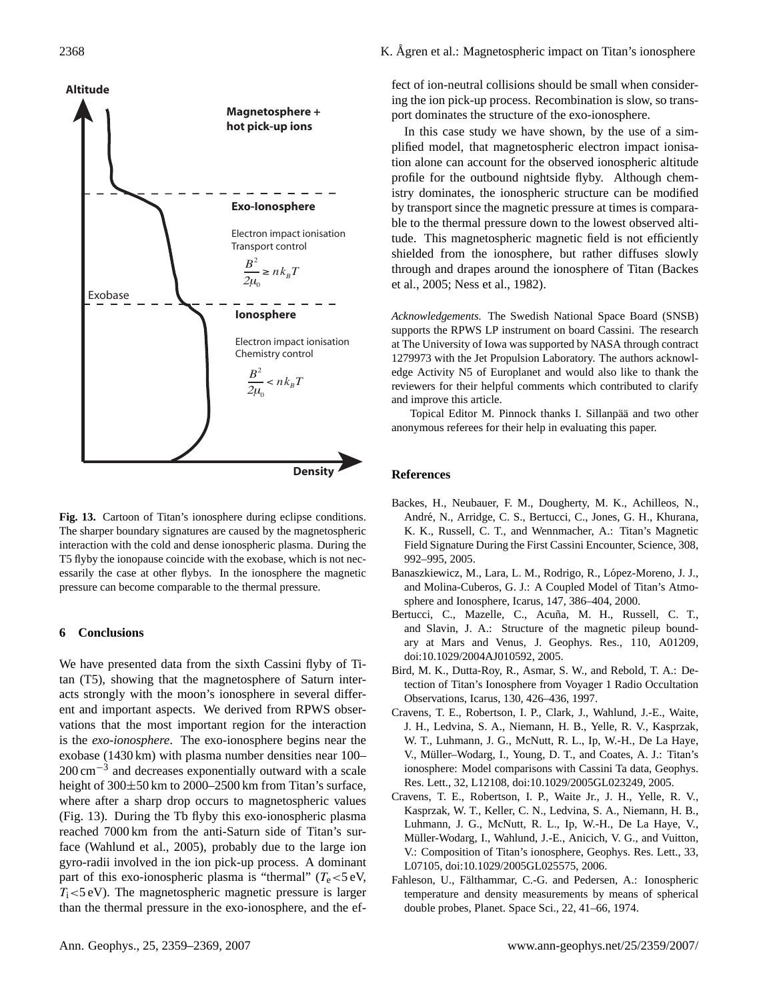![](_page_9_Figure_1.jpeg)

<span id="page-9-7"></span>Fig. 13. Cartoon of Titan's ionosphere during eclipse conditions. The sharper boundary signatures are caused by the magnetospheric interaction with the cold and dense ionospheric plasma. During the T5 flyby the ionopause coincide with the exobase, which is not necessarily the case at other flybys. In the ionosphere the magnetic pressure can become comparable to the thermal pressure.

## **6 Conclusions**

We have presented data from the sixth Cassini flyby of Titan (T5), showing that the magnetosphere of Saturn interacts strongly with the moon's ionosphere in several different and important aspects. We derived from RPWS observations that the most important region for the interaction is the *exo-ionosphere*. The exo-ionosphere begins near the exobase (1430 km) with plasma number densities near 100–  $200 \text{ cm}^{-3}$  and decreases exponentially outward with a scale height of 300±50 km to 2000–2500 km from Titan's surface, where after a sharp drop occurs to magnetospheric values (Fig. [13\)](#page-9-7). During the Tb flyby this exo-ionospheric plasma reached 7000 km from the anti-Saturn side of Titan's surface [\(Wahlund et al.,](#page-10-7) [2005\)](#page-10-7), probably due to the large ion gyro-radii involved in the ion pick-up process. A dominant part of this exo-ionospheric plasma is "thermal" ( $T_e < 5$  eV,  $T_i$  <5 eV). The magnetospheric magnetic pressure is larger than the thermal pressure in the exo-ionosphere, and the effect of ion-neutral collisions should be small when considering the ion pick-up process. Recombination is slow, so transport dominates the structure of the exo-ionosphere.

In this case study we have shown, by the use of a simplified model, that magnetospheric electron impact ionisation alone can account for the observed ionospheric altitude profile for the outbound nightside flyby. Although chemistry dominates, the ionospheric structure can be modified by transport since the magnetic pressure at times is comparable to the thermal pressure down to the lowest observed altitude. This magnetospheric magnetic field is not efficiently shielded from the ionosphere, but rather diffuses slowly through and drapes around the ionosphere of Titan [\(Backes](#page-9-3) [et al.,](#page-9-3) [2005;](#page-9-3) [Ness et al.,](#page-10-8) [1982\)](#page-10-8).

*Acknowledgements.* The Swedish National Space Board (SNSB) supports the RPWS LP instrument on board Cassini. The research at The University of Iowa was supported by NASA through contract 1279973 with the Jet Propulsion Laboratory. The authors acknowledge Activity N5 of Europlanet and would also like to thank the reviewers for their helpful comments which contributed to clarify and improve this article.

Topical Editor M. Pinnock thanks I. Sillanpää and two other anonymous referees for their help in evaluating this paper.

## **References**

- <span id="page-9-3"></span>Backes, H., Neubauer, F. M., Dougherty, M. K., Achilleos, N., André, N., Arridge, C. S., Bertucci, C., Jones, G. H., Khurana, K. K., Russell, C. T., and Wennmacher, A.: Titan's Magnetic Field Signature During the First Cassini Encounter, Science, 308, 992–995, 2005.
- <span id="page-9-2"></span>Banaszkiewicz, M., Lara, L. M., Rodrigo, R., López-Moreno, J. J., and Molina-Cuberos, G. J.: A Coupled Model of Titan's Atmosphere and Ionosphere, Icarus, 147, 386–404, 2000.
- <span id="page-9-6"></span>Bertucci, C., Mazelle, C., Acuña, M. H., Russell, C. T., and Slavin, J. A.: Structure of the magnetic pileup boundary at Mars and Venus, J. Geophys. Res., 110, A01209, doi:10.1029/2004AJ010592, 2005.
- <span id="page-9-0"></span>Bird, M. K., Dutta-Roy, R., Asmar, S. W., and Rebold, T. A.: Detection of Titan's Ionosphere from Voyager 1 Radio Occultation Observations, Icarus, 130, 426–436, 1997.
- <span id="page-9-4"></span>Cravens, T. E., Robertson, I. P., Clark, J., Wahlund, J.-E., Waite, J. H., Ledvina, S. A., Niemann, H. B., Yelle, R. V., Kasprzak, W. T., Luhmann, J. G., McNutt, R. L., Ip, W.-H., De La Haye, V., Muller–Wodarg, I., Young, D. T., and Coates, A. J.: Titan's ¨ ionosphere: Model comparisons with Cassini Ta data, Geophys. Res. Lett., 32, L12108, doi:10.1029/2005GL023249, 2005.
- <span id="page-9-1"></span>Cravens, T. E., Robertson, I. P., Waite Jr., J. H., Yelle, R. V., Kasprzak, W. T., Keller, C. N., Ledvina, S. A., Niemann, H. B., Luhmann, J. G., McNutt, R. L., Ip, W.-H., De La Haye, V., Müller-Wodarg, I., Wahlund, J.-E., Anicich, V. G., and Vuitton, V.: Composition of Titan's ionosphere, Geophys. Res. Lett., 33, L07105, doi:10.1029/2005GL025575, 2006.
- <span id="page-9-5"></span>Fahleson, U., Fälthammar, C.-G. and Pedersen, A.: Ionospheric temperature and density measurements by means of spherical double probes, Planet. Space Sci., 22, 41–66, 1974.